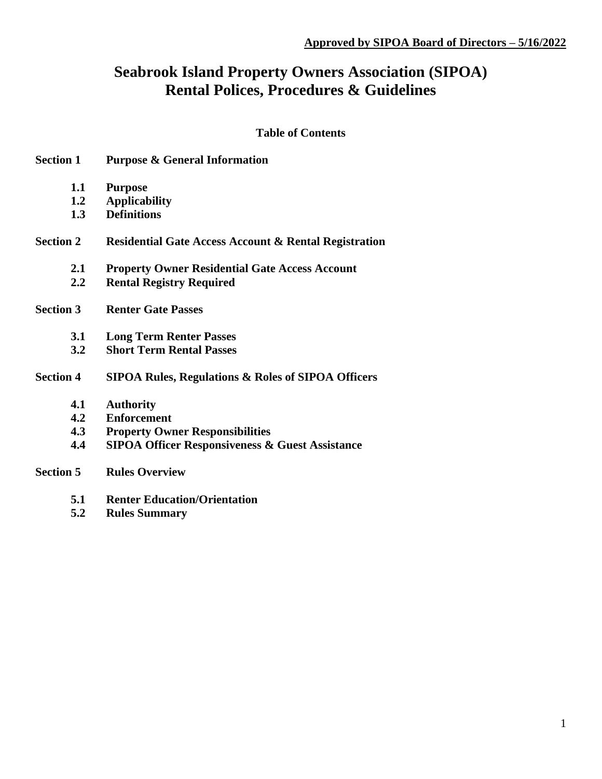# **Seabrook Island Property Owners Association (SIPOA) Rental Polices, Procedures & Guidelines**

# **Table of Contents**

| <b>Section 1</b> | <b>Purpose &amp; General Information</b>                         |
|------------------|------------------------------------------------------------------|
| 1.1              | <b>Purpose</b>                                                   |
| 1.2              | <b>Applicability</b>                                             |
| 1.3              | <b>Definitions</b>                                               |
| <b>Section 2</b> | <b>Residential Gate Access Account &amp; Rental Registration</b> |
| 2.1              | <b>Property Owner Residential Gate Access Account</b>            |
| 2.2              | <b>Rental Registry Required</b>                                  |
| <b>Section 3</b> | <b>Renter Gate Passes</b>                                        |
| 3.1              | <b>Long Term Renter Passes</b>                                   |
| 3.2              | <b>Short Term Rental Passes</b>                                  |
| <b>Section 4</b> | <b>SIPOA Rules, Regulations &amp; Roles of SIPOA Officers</b>    |
| 4.1              | <b>Authority</b>                                                 |
| 4.2              | <b>Enforcement</b>                                               |
| 4.3              | <b>Property Owner Responsibilities</b>                           |
| 4.4              | <b>SIPOA Officer Responsiveness &amp; Guest Assistance</b>       |
| <b>Section 5</b> | <b>Rules Overview</b>                                            |
| 5.1              | <b>Renter Education/Orientation</b>                              |

**5.2 Rules Summary**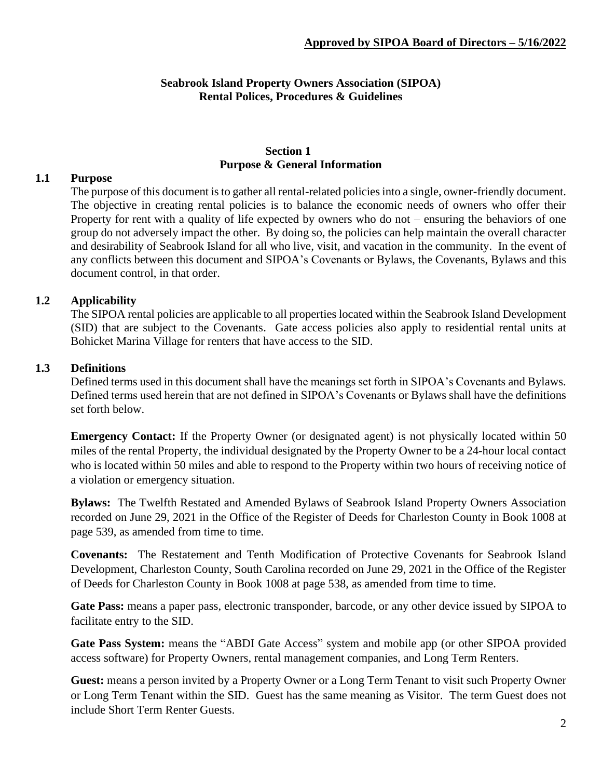# **Seabrook Island Property Owners Association (SIPOA) Rental Polices, Procedures & Guidelines**

## **Section 1 Purpose & General Information**

## **1.1 Purpose**

The purpose of this document is to gather all rental-related policies into a single, owner-friendly document. The objective in creating rental policies is to balance the economic needs of owners who offer their Property for rent with a quality of life expected by owners who do not – ensuring the behaviors of one group do not adversely impact the other. By doing so, the policies can help maintain the overall character and desirability of Seabrook Island for all who live, visit, and vacation in the community. In the event of any conflicts between this document and SIPOA's Covenants or Bylaws, the Covenants, Bylaws and this document control, in that order.

# **1.2 Applicability**

The SIPOA rental policies are applicable to all properties located within the Seabrook Island Development (SID) that are subject to the Covenants. Gate access policies also apply to residential rental units at Bohicket Marina Village for renters that have access to the SID.

## **1.3 Definitions**

Defined terms used in this document shall have the meanings set forth in SIPOA's Covenants and Bylaws. Defined terms used herein that are not defined in SIPOA's Covenants or Bylaws shall have the definitions set forth below.

**Emergency Contact:** If the Property Owner (or designated agent) is not physically located within 50 miles of the rental Property, the individual designated by the Property Owner to be a 24-hour local contact who is located within 50 miles and able to respond to the Property within two hours of receiving notice of a violation or emergency situation.

**Bylaws:** The Twelfth Restated and Amended Bylaws of Seabrook Island Property Owners Association recorded on June 29, 2021 in the Office of the Register of Deeds for Charleston County in Book 1008 at page 539, as amended from time to time.

**Covenants:** The Restatement and Tenth Modification of Protective Covenants for Seabrook Island Development, Charleston County, South Carolina recorded on June 29, 2021 in the Office of the Register of Deeds for Charleston County in Book 1008 at page 538, as amended from time to time.

**Gate Pass:** means a paper pass, electronic transponder, barcode, or any other device issued by SIPOA to facilitate entry to the SID.

**Gate Pass System:** means the "ABDI Gate Access" system and mobile app (or other SIPOA provided access software) for Property Owners, rental management companies, and Long Term Renters.

**Guest:** means a person invited by a Property Owner or a Long Term Tenant to visit such Property Owner or Long Term Tenant within the SID. Guest has the same meaning as Visitor. The term Guest does not include Short Term Renter Guests.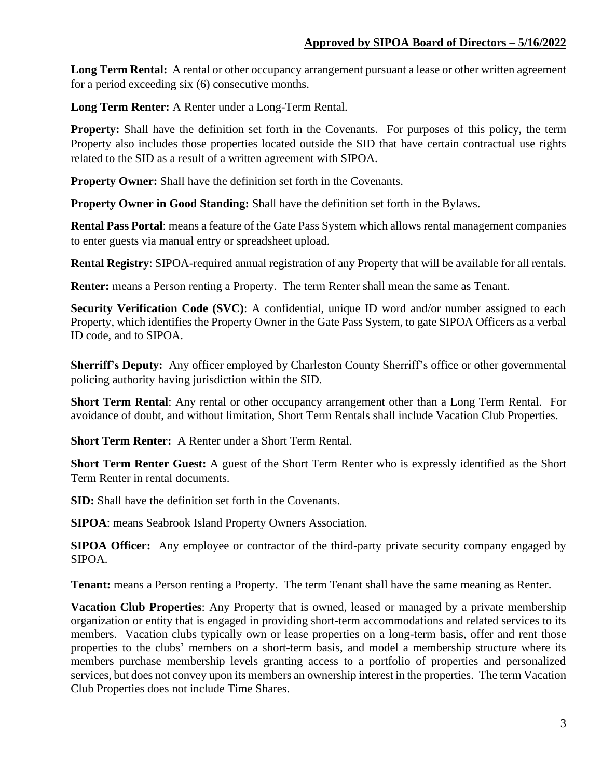**Long Term Rental:** A rental or other occupancy arrangement pursuant a lease or other written agreement for a period exceeding six (6) consecutive months.

**Long Term Renter:** A Renter under a Long-Term Rental.

**Property:** Shall have the definition set forth in the Covenants. For purposes of this policy, the term Property also includes those properties located outside the SID that have certain contractual use rights related to the SID as a result of a written agreement with SIPOA.

**Property Owner:** Shall have the definition set forth in the Covenants.

**Property Owner in Good Standing:** Shall have the definition set forth in the Bylaws.

**Rental Pass Portal**: means a feature of the Gate Pass System which allows rental management companies to enter guests via manual entry or spreadsheet upload.

**Rental Registry**: SIPOA-required annual registration of any Property that will be available for all rentals.

**Renter:** means a Person renting a Property. The term Renter shall mean the same as Tenant.

**Security Verification Code (SVC):** A confidential, unique ID word and/or number assigned to each Property, which identifies the Property Owner in the Gate Pass System, to gate SIPOA Officers as a verbal ID code, and to SIPOA.

**Sherriff's Deputy:** Any officer employed by Charleston County Sherriff's office or other governmental policing authority having jurisdiction within the SID.

**Short Term Rental**: Any rental or other occupancy arrangement other than a Long Term Rental. For avoidance of doubt, and without limitation, Short Term Rentals shall include Vacation Club Properties.

**Short Term Renter:** A Renter under a Short Term Rental.

**Short Term Renter Guest:** A guest of the Short Term Renter who is expressly identified as the Short Term Renter in rental documents.

**SID:** Shall have the definition set forth in the Covenants.

**SIPOA**: means Seabrook Island Property Owners Association.

**SIPOA Officer:** Any employee or contractor of the third-party private security company engaged by SIPOA.

**Tenant:** means a Person renting a Property. The term Tenant shall have the same meaning as Renter.

**Vacation Club Properties**: Any Property that is owned, leased or managed by a private membership organization or entity that is engaged in providing short-term accommodations and related services to its members. Vacation clubs typically own or lease properties on a long-term basis, offer and rent those properties to the clubs' members on a short-term basis, and model a membership structure where its members purchase membership levels granting access to a portfolio of properties and personalized services, but does not convey upon its members an ownership interest in the properties. The term Vacation Club Properties does not include Time Shares.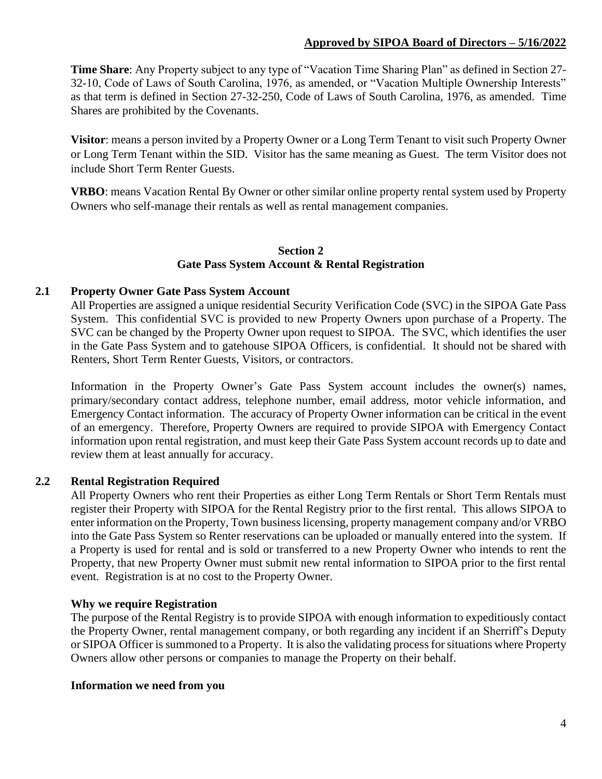## **Approved by SIPOA Board of Directors – 5/16/2022**

**Time Share**: Any Property subject to any type of "Vacation Time Sharing Plan" as defined in Section 27- 32-10, Code of Laws of South Carolina, 1976, as amended, or "Vacation Multiple Ownership Interests" as that term is defined in Section 27-32-250, Code of Laws of South Carolina, 1976, as amended. Time Shares are prohibited by the Covenants.

**Visitor**: means a person invited by a Property Owner or a Long Term Tenant to visit such Property Owner or Long Term Tenant within the SID. Visitor has the same meaning as Guest. The term Visitor does not include Short Term Renter Guests.

**VRBO**: means Vacation Rental By Owner or other similar online property rental system used by Property Owners who self-manage their rentals as well as rental management companies.

## **Section 2 Gate Pass System Account & Rental Registration**

## **2.1 Property Owner Gate Pass System Account**

All Properties are assigned a unique residential Security Verification Code (SVC) in the SIPOA Gate Pass System. This confidential SVC is provided to new Property Owners upon purchase of a Property. The SVC can be changed by the Property Owner upon request to SIPOA. The SVC, which identifies the user in the Gate Pass System and to gatehouse SIPOA Officers, is confidential. It should not be shared with Renters, Short Term Renter Guests, Visitors, or contractors.

Information in the Property Owner's Gate Pass System account includes the owner(s) names, primary/secondary contact address, telephone number, email address, motor vehicle information, and Emergency Contact information. The accuracy of Property Owner information can be critical in the event of an emergency. Therefore, Property Owners are required to provide SIPOA with Emergency Contact information upon rental registration, and must keep their Gate Pass System account records up to date and review them at least annually for accuracy.

## **2.2 Rental Registration Required**

All Property Owners who rent their Properties as either Long Term Rentals or Short Term Rentals must register their Property with SIPOA for the Rental Registry prior to the first rental. This allows SIPOA to enter information on the Property, Town business licensing, property management company and/or VRBO into the Gate Pass System so Renter reservations can be uploaded or manually entered into the system. If a Property is used for rental and is sold or transferred to a new Property Owner who intends to rent the Property, that new Property Owner must submit new rental information to SIPOA prior to the first rental event. Registration is at no cost to the Property Owner.

#### **Why we require Registration**

The purpose of the Rental Registry is to provide SIPOA with enough information to expeditiously contact the Property Owner, rental management company, or both regarding any incident if an Sherriff's Deputy or SIPOA Officer is summoned to a Property. It is also the validating process for situations where Property Owners allow other persons or companies to manage the Property on their behalf.

#### **Information we need from you**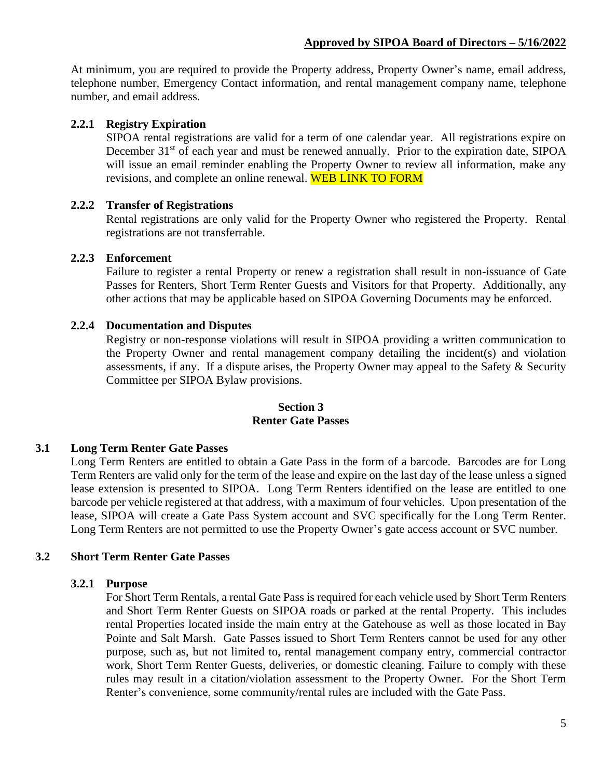At minimum, you are required to provide the Property address, Property Owner's name, email address, telephone number, Emergency Contact information, and rental management company name, telephone number, and email address.

## **2.2.1 Registry Expiration**

SIPOA rental registrations are valid for a term of one calendar year. All registrations expire on December 31<sup>st</sup> of each year and must be renewed annually. Prior to the expiration date, SIPOA will issue an email reminder enabling the Property Owner to review all information, make any revisions, and complete an online renewal. WEB LINK TO FORM

## **2.2.2 Transfer of Registrations**

Rental registrations are only valid for the Property Owner who registered the Property. Rental registrations are not transferrable.

#### **2.2.3 Enforcement**

Failure to register a rental Property or renew a registration shall result in non-issuance of Gate Passes for Renters, Short Term Renter Guests and Visitors for that Property. Additionally, any other actions that may be applicable based on SIPOA Governing Documents may be enforced.

#### **2.2.4 Documentation and Disputes**

Registry or non-response violations will result in SIPOA providing a written communication to the Property Owner and rental management company detailing the incident(s) and violation assessments, if any. If a dispute arises, the Property Owner may appeal to the Safety & Security Committee per SIPOA Bylaw provisions.

#### **Section 3 Renter Gate Passes**

## **3.1 Long Term Renter Gate Passes**

Long Term Renters are entitled to obtain a Gate Pass in the form of a barcode. Barcodes are for Long Term Renters are valid only for the term of the lease and expire on the last day of the lease unless a signed lease extension is presented to SIPOA. Long Term Renters identified on the lease are entitled to one barcode per vehicle registered at that address, with a maximum of four vehicles. Upon presentation of the lease, SIPOA will create a Gate Pass System account and SVC specifically for the Long Term Renter. Long Term Renters are not permitted to use the Property Owner's gate access account or SVC number.

#### **3.2 Short Term Renter Gate Passes**

#### **3.2.1 Purpose**

For Short Term Rentals, a rental Gate Pass is required for each vehicle used by Short Term Renters and Short Term Renter Guests on SIPOA roads or parked at the rental Property. This includes rental Properties located inside the main entry at the Gatehouse as well as those located in Bay Pointe and Salt Marsh. Gate Passes issued to Short Term Renters cannot be used for any other purpose, such as, but not limited to, rental management company entry, commercial contractor work, Short Term Renter Guests, deliveries, or domestic cleaning. Failure to comply with these rules may result in a citation/violation assessment to the Property Owner. For the Short Term Renter's convenience, some community/rental rules are included with the Gate Pass.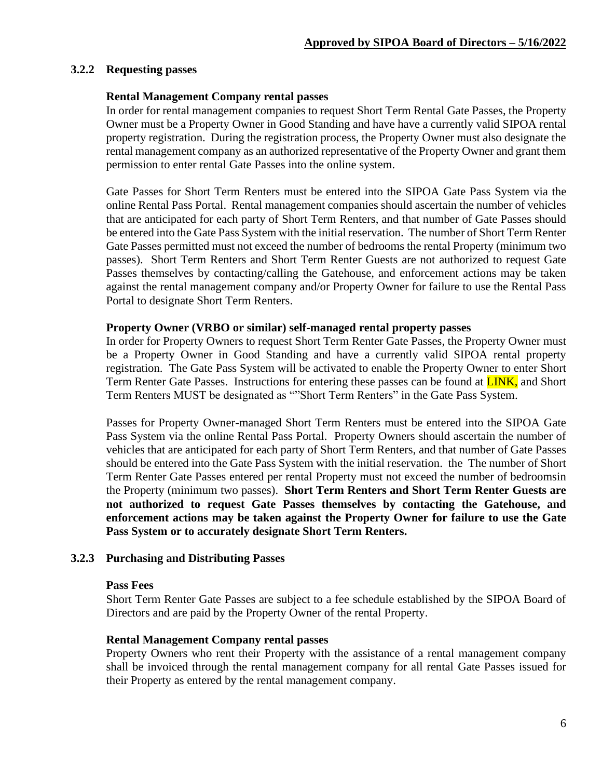## **3.2.2 Requesting passes**

#### **Rental Management Company rental passes**

In order for rental management companies to request Short Term Rental Gate Passes, the Property Owner must be a Property Owner in Good Standing and have have a currently valid SIPOA rental property registration. During the registration process, the Property Owner must also designate the rental management company as an authorized representative of the Property Owner and grant them permission to enter rental Gate Passes into the online system.

Gate Passes for Short Term Renters must be entered into the SIPOA Gate Pass System via the online Rental Pass Portal. Rental management companies should ascertain the number of vehicles that are anticipated for each party of Short Term Renters, and that number of Gate Passes should be entered into the Gate Pass System with the initial reservation. The number of Short Term Renter Gate Passes permitted must not exceed the number of bedrooms the rental Property (minimum two passes). Short Term Renters and Short Term Renter Guests are not authorized to request Gate Passes themselves by contacting/calling the Gatehouse, and enforcement actions may be taken against the rental management company and/or Property Owner for failure to use the Rental Pass Portal to designate Short Term Renters.

#### **Property Owner (VRBO or similar) self-managed rental property passes**

In order for Property Owners to request Short Term Renter Gate Passes, the Property Owner must be a Property Owner in Good Standing and have a currently valid SIPOA rental property registration. The Gate Pass System will be activated to enable the Property Owner to enter Short Term Renter Gate Passes. Instructions for entering these passes can be found at **LINK**, and Short Term Renters MUST be designated as ""Short Term Renters" in the Gate Pass System.

Passes for Property Owner-managed Short Term Renters must be entered into the SIPOA Gate Pass System via the online Rental Pass Portal. Property Owners should ascertain the number of vehicles that are anticipated for each party of Short Term Renters, and that number of Gate Passes should be entered into the Gate Pass System with the initial reservation. the The number of Short Term Renter Gate Passes entered per rental Property must not exceed the number of bedroomsin the Property (minimum two passes). **Short Term Renters and Short Term Renter Guests are not authorized to request Gate Passes themselves by contacting the Gatehouse, and enforcement actions may be taken against the Property Owner for failure to use the Gate Pass System or to accurately designate Short Term Renters.**

#### **3.2.3 Purchasing and Distributing Passes**

#### **Pass Fees**

Short Term Renter Gate Passes are subject to a fee schedule established by the SIPOA Board of Directors and are paid by the Property Owner of the rental Property.

#### **Rental Management Company rental passes**

Property Owners who rent their Property with the assistance of a rental management company shall be invoiced through the rental management company for all rental Gate Passes issued for their Property as entered by the rental management company.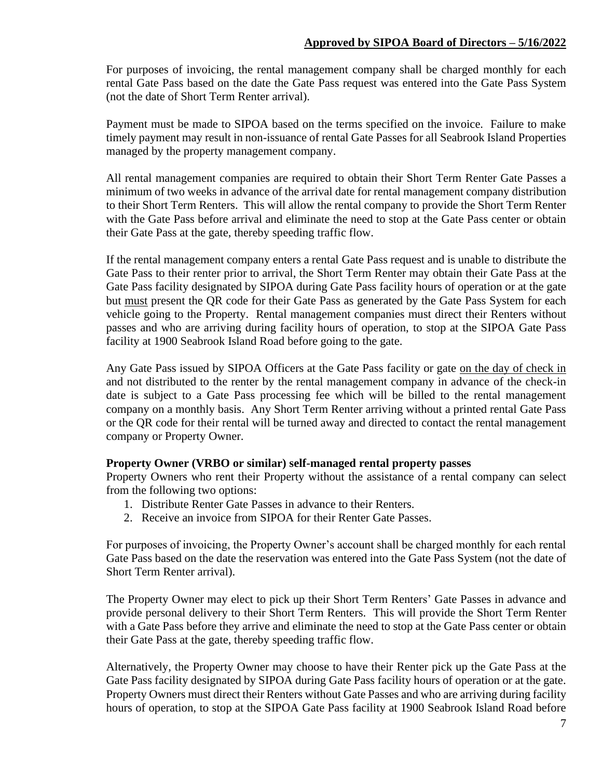## **Approved by SIPOA Board of Directors – 5/16/2022**

For purposes of invoicing, the rental management company shall be charged monthly for each rental Gate Pass based on the date the Gate Pass request was entered into the Gate Pass System (not the date of Short Term Renter arrival).

Payment must be made to SIPOA based on the terms specified on the invoice. Failure to make timely payment may result in non-issuance of rental Gate Passes for all Seabrook Island Properties managed by the property management company.

All rental management companies are required to obtain their Short Term Renter Gate Passes a minimum of two weeks in advance of the arrival date for rental management company distribution to their Short Term Renters. This will allow the rental company to provide the Short Term Renter with the Gate Pass before arrival and eliminate the need to stop at the Gate Pass center or obtain their Gate Pass at the gate, thereby speeding traffic flow.

If the rental management company enters a rental Gate Pass request and is unable to distribute the Gate Pass to their renter prior to arrival, the Short Term Renter may obtain their Gate Pass at the Gate Pass facility designated by SIPOA during Gate Pass facility hours of operation or at the gate but must present the QR code for their Gate Pass as generated by the Gate Pass System for each vehicle going to the Property. Rental management companies must direct their Renters without passes and who are arriving during facility hours of operation, to stop at the SIPOA Gate Pass facility at 1900 Seabrook Island Road before going to the gate.

Any Gate Pass issued by SIPOA Officers at the Gate Pass facility or gate on the day of check in and not distributed to the renter by the rental management company in advance of the check-in date is subject to a Gate Pass processing fee which will be billed to the rental management company on a monthly basis. Any Short Term Renter arriving without a printed rental Gate Pass or the QR code for their rental will be turned away and directed to contact the rental management company or Property Owner.

#### **Property Owner (VRBO or similar) self-managed rental property passes**

Property Owners who rent their Property without the assistance of a rental company can select from the following two options:

- 1. Distribute Renter Gate Passes in advance to their Renters.
- 2. Receive an invoice from SIPOA for their Renter Gate Passes.

For purposes of invoicing, the Property Owner's account shall be charged monthly for each rental Gate Pass based on the date the reservation was entered into the Gate Pass System (not the date of Short Term Renter arrival).

The Property Owner may elect to pick up their Short Term Renters' Gate Passes in advance and provide personal delivery to their Short Term Renters. This will provide the Short Term Renter with a Gate Pass before they arrive and eliminate the need to stop at the Gate Pass center or obtain their Gate Pass at the gate, thereby speeding traffic flow.

Alternatively, the Property Owner may choose to have their Renter pick up the Gate Pass at the Gate Pass facility designated by SIPOA during Gate Pass facility hours of operation or at the gate. Property Owners must direct their Renters without Gate Passes and who are arriving during facility hours of operation, to stop at the SIPOA Gate Pass facility at 1900 Seabrook Island Road before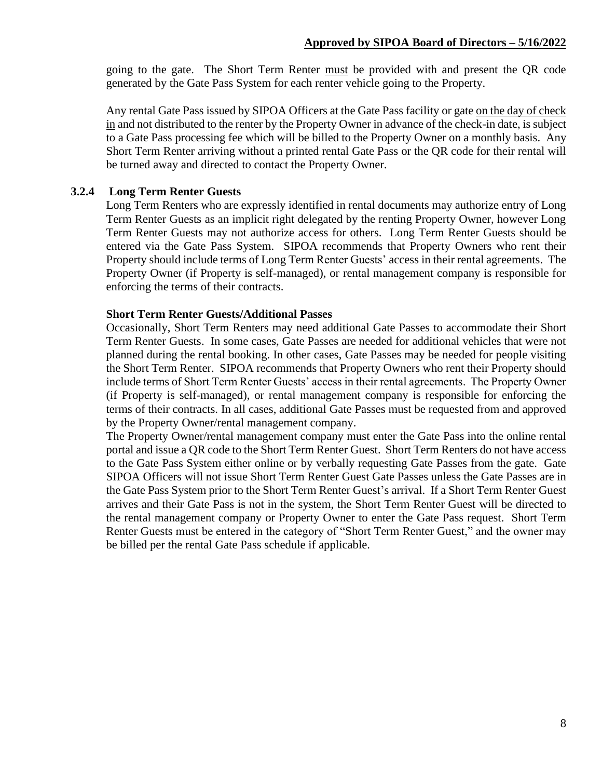going to the gate. The Short Term Renter must be provided with and present the QR code generated by the Gate Pass System for each renter vehicle going to the Property.

Any rental Gate Pass issued by SIPOA Officers at the Gate Pass facility or gate on the day of check in and not distributed to the renter by the Property Owner in advance of the check-in date, is subject to a Gate Pass processing fee which will be billed to the Property Owner on a monthly basis. Any Short Term Renter arriving without a printed rental Gate Pass or the QR code for their rental will be turned away and directed to contact the Property Owner.

## **3.2.4 Long Term Renter Guests**

Long Term Renters who are expressly identified in rental documents may authorize entry of Long Term Renter Guests as an implicit right delegated by the renting Property Owner, however Long Term Renter Guests may not authorize access for others. Long Term Renter Guests should be entered via the Gate Pass System. SIPOA recommends that Property Owners who rent their Property should include terms of Long Term Renter Guests' access in their rental agreements. The Property Owner (if Property is self-managed), or rental management company is responsible for enforcing the terms of their contracts.

#### **Short Term Renter Guests/Additional Passes**

Occasionally, Short Term Renters may need additional Gate Passes to accommodate their Short Term Renter Guests. In some cases, Gate Passes are needed for additional vehicles that were not planned during the rental booking. In other cases, Gate Passes may be needed for people visiting the Short Term Renter. SIPOA recommends that Property Owners who rent their Property should include terms of Short Term Renter Guests' access in their rental agreements. The Property Owner (if Property is self-managed), or rental management company is responsible for enforcing the terms of their contracts. In all cases, additional Gate Passes must be requested from and approved by the Property Owner/rental management company.

The Property Owner/rental management company must enter the Gate Pass into the online rental portal and issue a QR code to the Short Term Renter Guest. Short Term Renters do not have access to the Gate Pass System either online or by verbally requesting Gate Passes from the gate. Gate SIPOA Officers will not issue Short Term Renter Guest Gate Passes unless the Gate Passes are in the Gate Pass System prior to the Short Term Renter Guest's arrival. If a Short Term Renter Guest arrives and their Gate Pass is not in the system, the Short Term Renter Guest will be directed to the rental management company or Property Owner to enter the Gate Pass request. Short Term Renter Guests must be entered in the category of "Short Term Renter Guest," and the owner may be billed per the rental Gate Pass schedule if applicable.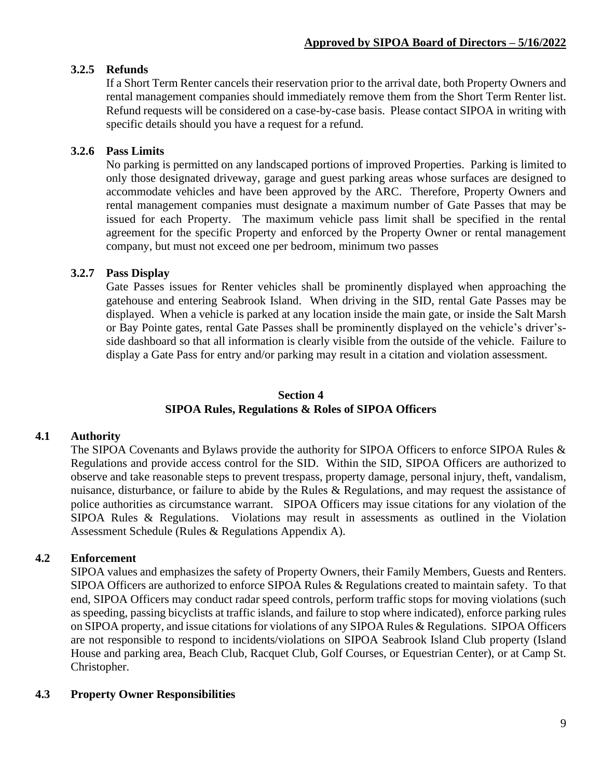# **3.2.5 Refunds**

If a Short Term Renter cancels their reservation prior to the arrival date, both Property Owners and rental management companies should immediately remove them from the Short Term Renter list. Refund requests will be considered on a case-by-case basis. Please contact SIPOA in writing with specific details should you have a request for a refund.

## **3.2.6 Pass Limits**

No parking is permitted on any landscaped portions of improved Properties. Parking is limited to only those designated driveway, garage and guest parking areas whose surfaces are designed to accommodate vehicles and have been approved by the ARC. Therefore, Property Owners and rental management companies must designate a maximum number of Gate Passes that may be issued for each Property. The maximum vehicle pass limit shall be specified in the rental agreement for the specific Property and enforced by the Property Owner or rental management company, but must not exceed one per bedroom, minimum two passes

## **3.2.7 Pass Display**

Gate Passes issues for Renter vehicles shall be prominently displayed when approaching the gatehouse and entering Seabrook Island. When driving in the SID, rental Gate Passes may be displayed. When a vehicle is parked at any location inside the main gate, or inside the Salt Marsh or Bay Pointe gates, rental Gate Passes shall be prominently displayed on the vehicle's driver'sside dashboard so that all information is clearly visible from the outside of the vehicle. Failure to display a Gate Pass for entry and/or parking may result in a citation and violation assessment.

# **Section 4 SIPOA Rules, Regulations & Roles of SIPOA Officers**

## **4.1 Authority**

The SIPOA Covenants and Bylaws provide the authority for SIPOA Officers to enforce SIPOA Rules & Regulations and provide access control for the SID. Within the SID, SIPOA Officers are authorized to observe and take reasonable steps to prevent trespass, property damage, personal injury, theft, vandalism, nuisance, disturbance, or failure to abide by the Rules & Regulations, and may request the assistance of police authorities as circumstance warrant. SIPOA Officers may issue citations for any violation of the SIPOA Rules & Regulations. Violations may result in assessments as outlined in the Violation Assessment Schedule (Rules & Regulations Appendix A).

## **4.2 Enforcement**

SIPOA values and emphasizes the safety of Property Owners, their Family Members, Guests and Renters. SIPOA Officers are authorized to enforce SIPOA Rules & Regulations created to maintain safety. To that end, SIPOA Officers may conduct radar speed controls, perform traffic stops for moving violations (such as speeding, passing bicyclists at traffic islands, and failure to stop where indicated), enforce parking rules on SIPOA property, and issue citations for violations of any SIPOA Rules & Regulations. SIPOA Officers are not responsible to respond to incidents/violations on SIPOA Seabrook Island Club property (Island House and parking area, Beach Club, Racquet Club, Golf Courses, or Equestrian Center), or at Camp St. Christopher.

## **4.3 Property Owner Responsibilities**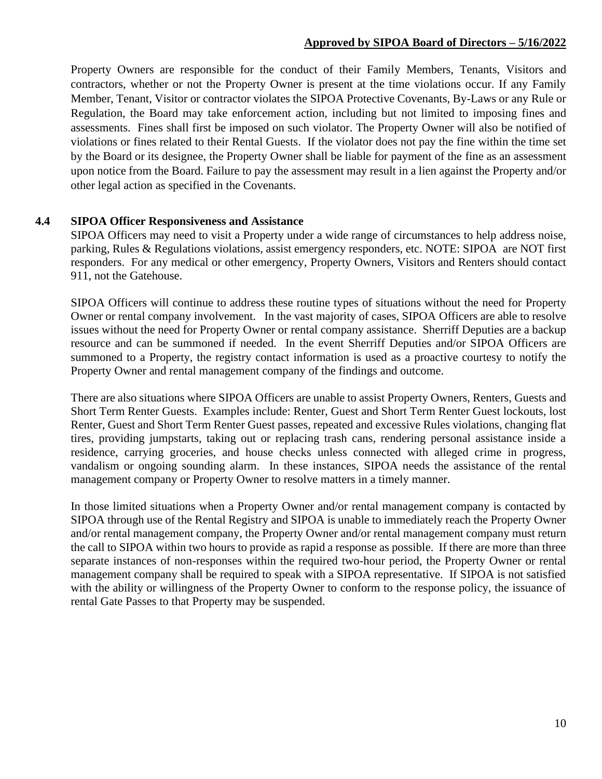## **Approved by SIPOA Board of Directors – 5/16/2022**

Property Owners are responsible for the conduct of their Family Members, Tenants, Visitors and contractors, whether or not the Property Owner is present at the time violations occur. If any Family Member, Tenant, Visitor or contractor violates the SIPOA Protective Covenants, By-Laws or any Rule or Regulation, the Board may take enforcement action, including but not limited to imposing fines and assessments. Fines shall first be imposed on such violator. The Property Owner will also be notified of violations or fines related to their Rental Guests. If the violator does not pay the fine within the time set by the Board or its designee, the Property Owner shall be liable for payment of the fine as an assessment upon notice from the Board. Failure to pay the assessment may result in a lien against the Property and/or other legal action as specified in the Covenants.

#### **4.4 SIPOA Officer Responsiveness and Assistance**

SIPOA Officers may need to visit a Property under a wide range of circumstances to help address noise, parking, Rules & Regulations violations, assist emergency responders, etc. NOTE: SIPOA are NOT first responders. For any medical or other emergency, Property Owners, Visitors and Renters should contact 911, not the Gatehouse.

SIPOA Officers will continue to address these routine types of situations without the need for Property Owner or rental company involvement. In the vast majority of cases, SIPOA Officers are able to resolve issues without the need for Property Owner or rental company assistance. Sherriff Deputies are a backup resource and can be summoned if needed. In the event Sherriff Deputies and/or SIPOA Officers are summoned to a Property, the registry contact information is used as a proactive courtesy to notify the Property Owner and rental management company of the findings and outcome.

There are also situations where SIPOA Officers are unable to assist Property Owners, Renters, Guests and Short Term Renter Guests. Examples include: Renter, Guest and Short Term Renter Guest lockouts, lost Renter, Guest and Short Term Renter Guest passes, repeated and excessive Rules violations, changing flat tires, providing jumpstarts, taking out or replacing trash cans, rendering personal assistance inside a residence, carrying groceries, and house checks unless connected with alleged crime in progress, vandalism or ongoing sounding alarm. In these instances, SIPOA needs the assistance of the rental management company or Property Owner to resolve matters in a timely manner.

In those limited situations when a Property Owner and/or rental management company is contacted by SIPOA through use of the Rental Registry and SIPOA is unable to immediately reach the Property Owner and/or rental management company, the Property Owner and/or rental management company must return the call to SIPOA within two hours to provide as rapid a response as possible. If there are more than three separate instances of non-responses within the required two-hour period, the Property Owner or rental management company shall be required to speak with a SIPOA representative. If SIPOA is not satisfied with the ability or willingness of the Property Owner to conform to the response policy, the issuance of rental Gate Passes to that Property may be suspended.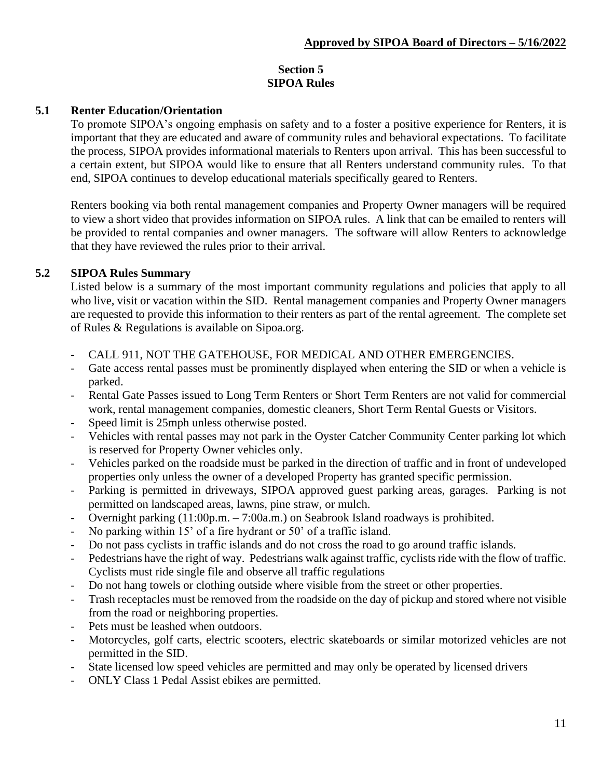# **Section 5 SIPOA Rules**

# **5.1 Renter Education/Orientation**

To promote SIPOA's ongoing emphasis on safety and to a foster a positive experience for Renters, it is important that they are educated and aware of community rules and behavioral expectations. To facilitate the process, SIPOA provides informational materials to Renters upon arrival. This has been successful to a certain extent, but SIPOA would like to ensure that all Renters understand community rules. To that end, SIPOA continues to develop educational materials specifically geared to Renters.

Renters booking via both rental management companies and Property Owner managers will be required to view a short video that provides information on SIPOA rules. A link that can be emailed to renters will be provided to rental companies and owner managers. The software will allow Renters to acknowledge that they have reviewed the rules prior to their arrival.

## **5.2 SIPOA Rules Summary**

Listed below is a summary of the most important community regulations and policies that apply to all who live, visit or vacation within the SID. Rental management companies and Property Owner managers are requested to provide this information to their renters as part of the rental agreement. The complete set of Rules & Regulations is available on Sipoa.org.

- CALL 911, NOT THE GATEHOUSE, FOR MEDICAL AND OTHER EMERGENCIES.
- Gate access rental passes must be prominently displayed when entering the SID or when a vehicle is parked.
- Rental Gate Passes issued to Long Term Renters or Short Term Renters are not valid for commercial work, rental management companies, domestic cleaners, Short Term Rental Guests or Visitors.
- Speed limit is 25mph unless otherwise posted.
- Vehicles with rental passes may not park in the Oyster Catcher Community Center parking lot which is reserved for Property Owner vehicles only.
- Vehicles parked on the roadside must be parked in the direction of traffic and in front of undeveloped properties only unless the owner of a developed Property has granted specific permission.
- Parking is permitted in driveways, SIPOA approved guest parking areas, garages. Parking is not permitted on landscaped areas, lawns, pine straw, or mulch.
- Overnight parking (11:00p.m. 7:00a.m.) on Seabrook Island roadways is prohibited.
- No parking within 15' of a fire hydrant or 50' of a traffic island.
- Do not pass cyclists in traffic islands and do not cross the road to go around traffic islands.
- Pedestrians have the right of way. Pedestrians walk against traffic, cyclists ride with the flow of traffic. Cyclists must ride single file and observe all traffic regulations
- Do not hang towels or clothing outside where visible from the street or other properties.
- Trash receptacles must be removed from the roadside on the day of pickup and stored where not visible from the road or neighboring properties.
- Pets must be leashed when outdoors.
- Motorcycles, golf carts, electric scooters, electric skateboards or similar motorized vehicles are not permitted in the SID.
- State licensed low speed vehicles are permitted and may only be operated by licensed drivers
- ONLY Class 1 Pedal Assist ebikes are permitted.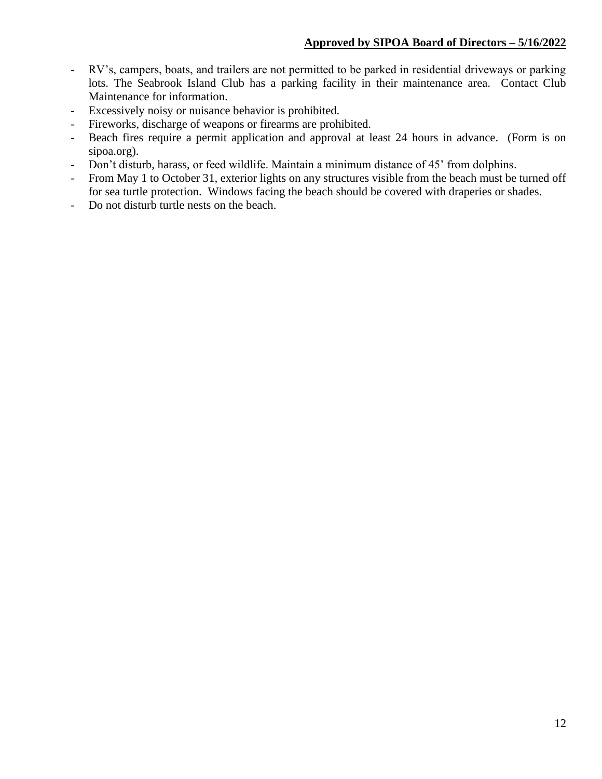- RV's, campers, boats, and trailers are not permitted to be parked in residential driveways or parking lots. The Seabrook Island Club has a parking facility in their maintenance area. Contact Club Maintenance for information.
- Excessively noisy or nuisance behavior is prohibited.
- Fireworks, discharge of weapons or firearms are prohibited.
- Beach fires require a permit application and approval at least 24 hours in advance. (Form is on sipoa.org).
- Don't disturb, harass, or feed wildlife. Maintain a minimum distance of 45' from dolphins.
- From May 1 to October 31, exterior lights on any structures visible from the beach must be turned off for sea turtle protection. Windows facing the beach should be covered with draperies or shades.
- Do not disturb turtle nests on the beach.